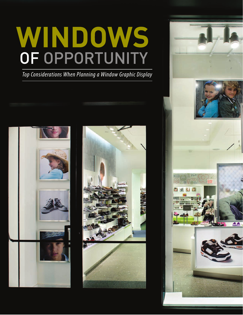# WINDOWS OF OPPORTUNITY

*Top Considerations When Planning a Window Graphic Display*





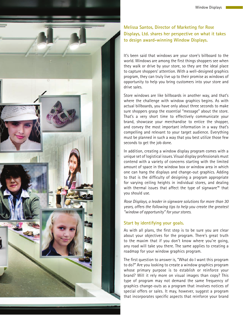

# **Melissa Santos, Director of Marketing for Rose Displays, Ltd. shares her perspective on what it takes to design award-winning Window Displays.**

It's been said that windows are your store's billboard to the world. Windows are among the first things shoppers see when they walk or drive by your store, so they are the ideal place to capture shoppers' attention. With a well-designed graphics program, they can truly live up to their promise as windows of opportunity to help you bring customers into your store and drive sales.

Store windows are like billboards in another way, and that's where the challenge with window graphics begins. As with actual billboards, you have only about three seconds to make sure shoppers grasp the essential "message" about the store. That's a very short time to effectively communicate your brand, showcase your merchandise to entice the shopper, and convey the most important information in a way that's compelling and relevant to your target audience. Everything must be planned in such a way that you best utilize those few seconds to get the job done.

In addition, creating a window display program comes with a unique set of logistical issues. Visual display professionals must contend with a variety of concerns starting with the limited amount of space in the window box or window area in which one can hang the displays and change-out graphics. Adding to that is the difficulty of designing a program appropriate for varying ceiling heights in individual stores, and dealing with thermal issues that affect the type of signware™ that you should use.

*Rose Displays, a leader in signware solutions for more than 30 years, offers the following tips to help you create the greatest "window of opportunity" for your stores.*

# **Start by identifying your goals.**

As with all plans, the first step is to be sure you are clear about your objectives for the program. There's great truth to the maxim that if you don't know where you're going, any road will take you there. The same applies to creating a roadmap for your window graphics program.

The first question to answer is, "What do I want this program to do?" Are you looking to create a window graphics program whose primary purpose is to establish or reinforce your brand? Will it rely more on visual images than copy? This type of program may not demand the same frequency of graphics change-outs as a program that involves notices of special offers or sales. It may, however, suggest a program that incorporates specific aspects that reinforce your brand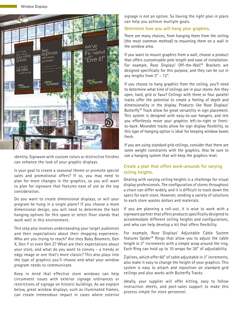

identity. Signware with custom colors or distinctive finishes can enhance the look of your graphic displays.

Is your goal to create a seasonal theme or promote special sales and promotional offers? If so, you may need to plan for more changes in the graphics, so you will want to plan for signware that features ease of use as the top consideration.

Do you want to create dimensional displays, or will your program be hung in a single plane? If you choose a more dimensional design, you will need to determine the best hanging options for this space or select floor stands that work well in this environment.

This step also involves understanding your target audiences and their expectations about their shopping experience. Who are you trying to reach? Are they Baby Boomers, Gen X, Gen Y or even Gen Z? What are their expectations about your store, and what do you want to convey – a trendy or edgy image or one that's more classic? This also plays into the type of graphics you'll choose and what your window program needs to communicate.

Keep in mind that effective store windows can help circumvent issues with exterior signage ordinances or restrictions of signage on historic buildings. As we explain below, great window displays, such as illuminated frames, can create tremendous impact in cases where exterior signage is not an option. So having the right plan in place can help you achieve multiple goals.

#### **Determine how you will hang your graphics.**

There are many choices, from hanging them from the ceiling (the most common method) to mounting them on a wall in the window area.

If you want to mount graphics from a wall, choose a product that offers customizable pole length and ease of installation. For example, Rose Displays' Off-the-Wall™ Brackets are designed specifically for this purpose, and they can be cut in any lengths from 3" – 12".

If you choose to hang graphics from the ceiling, you'll need to determine what kind of ceilings are in your stores. Are they open, hard, grid or faux? Ceilings with three or four parallel tracks offer the potential to create a feeling of depth and dimensionality in the display. Products like Rose Displays' Butterfly™ Track allow for great versatility in sign placement. This system is designed with easy-to-use hangers, and lets you effortlessly move your graphics left-to-right or frontto-back. Moveable tracks allow for sign display flexibility, so this type of hanging option is ideal for keeping window boxes fresh.

If you are using standard grid ceilings, consider that there are some weight constraints with the graphics. Also be sure to use a hanging system that will keep the graphics level.

### **Create a plan that offers work-arounds for varying ceiling heights.**

Dealing with varying ceiling heights is a challenge for visual display professionals. The configuration of stores throughout a chain can differ widely, and it is difficult to track down the specs for each store. However, sending a variety of solutions to each store wastes dollars and materials.

If you are planning a roll-out, it is wise to work with a signware partner that offers products specifically designed to accommodate different ceiling heights and configurations, and who can help develop a kit that offers flexibility.

For example, Rose Displays' Adjustable Cable System features Spider™ Rings that allow you to adjust the cable length in 3" increments with a simple wrap around the ring. Each Ring can hold up to 10 wraps for 30" of adjustability.

Ziplines, which offer 60" of cable adjustable in 3" increments, also make it easy to change the height of your graphics. This system is easy to attach and reposition on standard grid ceilings and also works with Butterfly Tracks.

Ideally, your supplier will offer kitting, easy to follow instruction sheets, and post-sales support to make this process simple for store personnel.